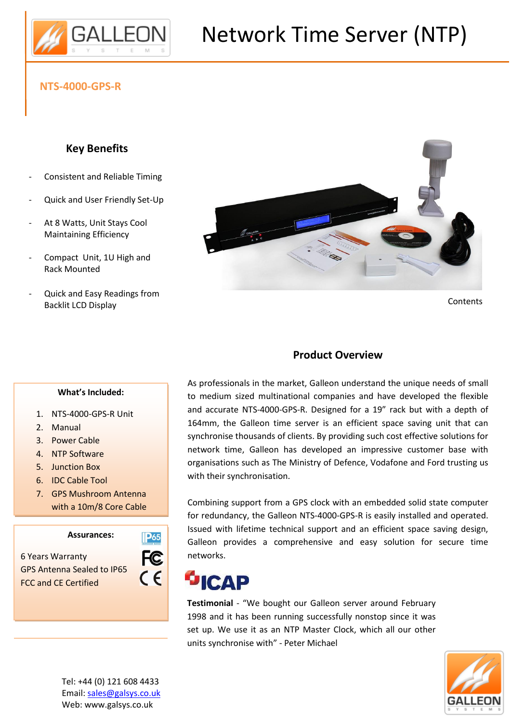

# Network Time Server (NTP)

## **NTS-4000-GPS-R**

#### **Key Benefits**

- Consistent and Reliable Timing
- Quick and User Friendly Set-Up
- At 8 Watts, Unit Stays Cool Maintaining Efficiency
- Compact Unit, 1U High and Rack Mounted
- Quick and Easy Readings from Backlit LCD Display



**Contents** 

## **Product Overview**

As professionals in the market, Galleon understand the unique needs of small to medium sized multinational companies and have developed the flexible and accurate NTS-4000-GPS-R. Designed for a 19" rack but with a depth of 164mm, the Galleon time server is an efficient space saving unit that can synchronise thousands of clients. By providing such cost effective solutions for network time, Galleon has developed an impressive customer base with organisations such as The Ministry of Defence, Vodafone and Ford trusting us with their synchronisation.

Combining support from a GPS clock with an embedded solid state computer for redundancy, the Galleon NTS-4000-GPS-R is easily installed and operated. Issued with lifetime technical support and an efficient space saving design, Galleon provides a comprehensive and easy solution for secure time networks.

#### **ICAP** .

**Testimonial** - "We bought our Galleon server around February 1998 and it has been running successfully nonstop since it was set up. We use it as an NTP Master Clock, which all our other units synchronise with" - Peter Michael



#### **What's Included:**

- 1. NTS-4000-GPS-R Unit
- 2. Manual

8.

- 3. Power Cable
- 4. NTP Software
- 5. Junction Box
- 6. IDC Cable Tool
- 7. GPS Mushroom Antenna with a 10m/8 Core Cable

**Assurances:**

6 Years Warranty GPS Antenna Sealed to IP65 FCC and CE Certified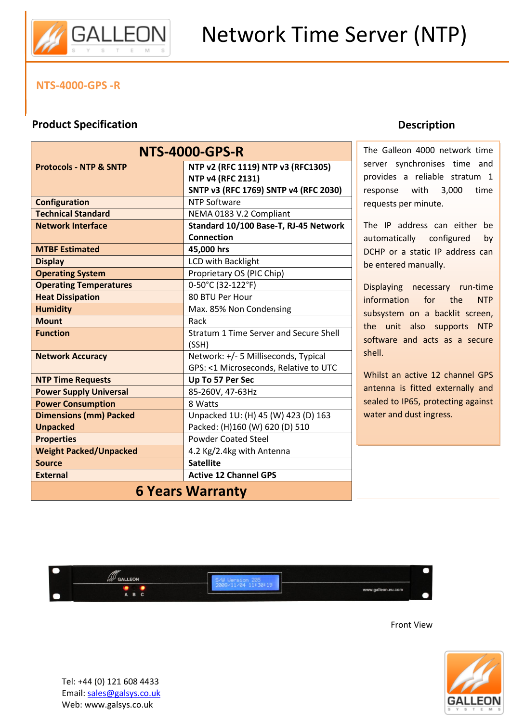

#### **NTS-4000-GPS -R**

## **Product Specification**

| <b>NTS-4000-GPS-R</b>             |                                        |
|-----------------------------------|----------------------------------------|
| <b>Protocols - NTP &amp; SNTP</b> | NTP v2 (RFC 1119) NTP v3 (RFC1305)     |
|                                   | <b>NTP v4 (RFC 2131)</b>               |
|                                   | SNTP v3 (RFC 1769) SNTP v4 (RFC 2030)  |
| <b>Configuration</b>              | NTP Software                           |
| <b>Technical Standard</b>         | NEMA 0183 V.2 Compliant                |
| <b>Network Interface</b>          | Standard 10/100 Base-T, RJ-45 Network  |
|                                   | <b>Connection</b>                      |
| <b>MTBF Estimated</b>             | 45,000 hrs                             |
| <b>Display</b>                    | <b>LCD with Backlight</b>              |
| <b>Operating System</b>           | Proprietary OS (PIC Chip)              |
| <b>Operating Temperatures</b>     | 0-50°C (32-122°F)                      |
| <b>Heat Dissipation</b>           | 80 BTU Per Hour                        |
| <b>Humidity</b>                   | Max. 85% Non Condensing                |
| <b>Mount</b>                      | Rack                                   |
| <b>Function</b>                   | Stratum 1 Time Server and Secure Shell |
|                                   | (SSH)                                  |
| <b>Network Accuracy</b>           | Network: +/- 5 Milliseconds, Typical   |
|                                   | GPS: <1 Microseconds, Relative to UTC  |
| <b>NTP Time Requests</b>          | Up To 57 Per Sec                       |
| <b>Power Supply Universal</b>     | 85-260V, 47-63Hz                       |
| <b>Power Consumption</b>          | 8 Watts                                |
| <b>Dimensions (mm) Packed</b>     | Unpacked 1U: (H) 45 (W) 423 (D) 163    |
| <b>Unpacked</b>                   | Packed: (H)160 (W) 620 (D) 510         |
| <b>Properties</b>                 | <b>Powder Coated Steel</b>             |
| <b>Weight Packed/Unpacked</b>     | 4.2 Kg/2.4kg with Antenna              |
| <b>Source</b>                     | <b>Satellite</b>                       |
| <b>External</b>                   | <b>Active 12 Channel GPS</b>           |
| <b>6 Years Warranty</b>           |                                        |

## **Description**

The Galleon 4000 network time server synchronises time and provides a reliable stratum 1 response with 3,000 time requests per minute.

The IP address can either be automatically configured by DCHP or a static IP address can be entered manually.

Displaying necessary run-time information for the NTP subsystem on a backlit screen, the unit also supports NTP software and acts as a secure shell.

Whilst an active 12 channel GPS antenna is fitted externally and sealed to IP65, protecting against water and dust ingress.







Tel: +44 (0) 121 608 4433 Email: sales@galsys.co.uk Web: www.galsys.co.uk